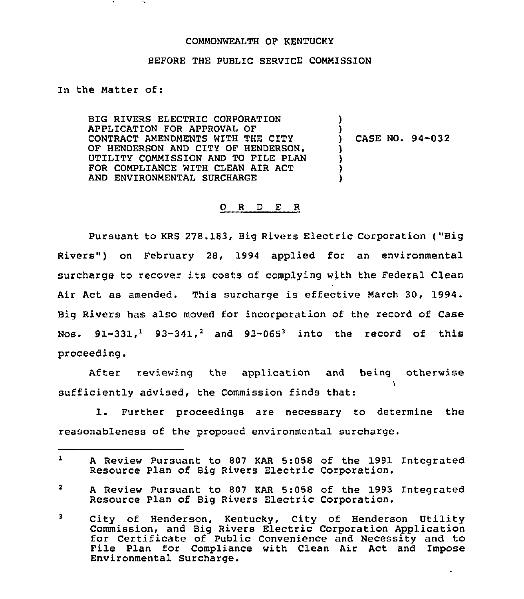#### COMMONWEALTH OF KENTUCKY

## BEFORE THE PUBLIC SERVICE COMMISSION

## In the Matter of:

BIG RIVERS ELECTRIC CORPORATION APPLICATION FOR APPROVAL OF CONTRACT AMENDMENTS WITH THE CITY OF HENDERSON AND CITY OF HENDERSON, UTILITY COMMISSION AND TO FILE PLAN FOR COMPLIANCE WITH CLEAN AIR ACT AND ENVIRONMENTAL SURCHARGE  $\lambda$ ) ) CASE NO. 94-032 ) )  $\mathfrak{z}$ )

#### 0 <sup>R</sup> <sup>D</sup> E <sup>R</sup>

Pursuant to KRS 278.183, Big Rivers Electric Corporation ("Big Rivers" ) on February 28, 1994 applied for an environmental surcharge to recover its costs of complying with the Federal Clean Air Act as amended. This surcharge is effective March 30, 1994. Big Rivers has also moved for incorporation of the record of Case Nos.  $91-331$ ,  $93-341$ ,  $2$  and  $93-065$ <sup>3</sup> into the record of this proceeding.

After reviewing the application and being otherwise sufficiently advised, the Commission finds that:

1. Further proceedings are necessary to determine the reasonableness of the proposed environmental surcharge.

 $\mathbf{z}$ <sup>A</sup> Review Pursuant to 807 KAR 5:058 of the 1993 Integrated Resource Plan of Big Rivers Electric Corporation.

 $\mathbf{1}$ <sup>A</sup> Review Pursuant to 807 KAR 5:058 of the 1991 Integrated Resource Plan of Big Rivers Electric Corporation.

City of Henderson, Kentucky, City of Henderson Utilit  $3<sup>1</sup>$ Commission, and Big Rivers Electric Corporation Application for Certificate of Public Convenience and Necessity and to File Plan for Compliance with Clean Air Act and Impose File Plan for Compliance with Clean Air Act and Impose<br>Environmental Surcharge.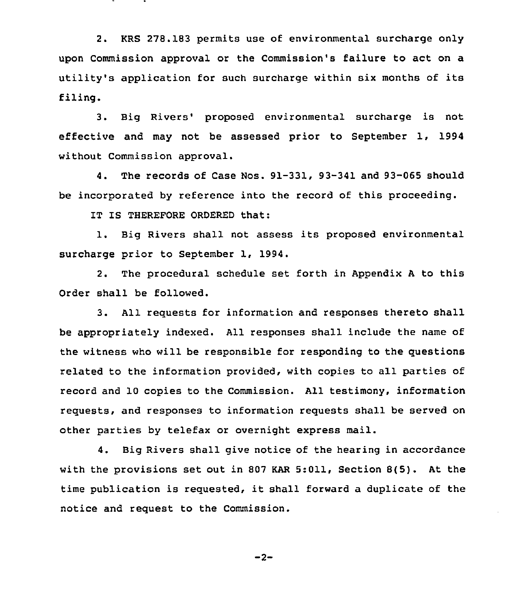2. KRS 278.183 permits use of environmental surcharge only upon Commission approval or the Commission's failure to act on a utility's application for such surcharge within six months of its filing.

3. Big Rivers' proposed environmental surcharge is not effective and may not be assessed prior to September 1, 1994 without Commission approval.

4. The records of Case Nos. 91-331, 93-341 and 93-065 should be incorporated by reference into the record of this proceeding.

IT IS THEREFORE ORDERED that:

1. Big Rivers shall not assess its proposed environmental surcharge prior to September 1, 1994.

2. The procedural schedule set forth in Appendix <sup>A</sup> to this Order shall be followed.

3. All requests for information and responses thereto shall be appropriately indexed. All responses shall include the name of the witness who will be responsible for responding to the questions related to the information provided, with copies to all parties of record and 10 copies to the Commission. All testimony, information requests, and responses to information requests shall be served on other parties by telefax or overnight express mail.

4. Big Rivers shall give notice of the hearing in accordance with the provisions set out in 807 KAR 5:011, Section 8(5). At the time publication is requested, it shall forward <sup>a</sup> duplicate of the notice and request to the Commission.

 $-2-$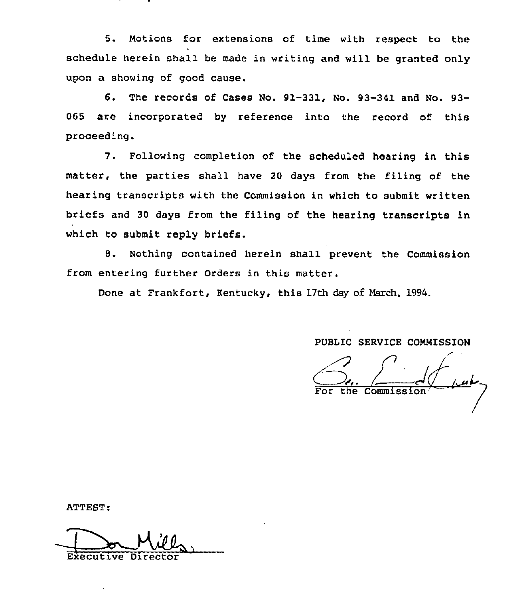5. Motions for extensions of time with respect to the schedule herein shall be made in writing and will be granted only upon a showing of good cause.

6. The records of Cases No. 91-331, No. 93-341 and No. 93- 065 are incorporated by reference into the record of this proceeding.

7. Following completion of the scheduled hearing in this matter, the parties shall have 20 days from the filing of the hearing transcripts with the Commission in which to submit written briefs and 30 days from the filing of the hearing transcripts in which to submit reply briefs.

8. Nothing contained herein shall prevent the Commission from entering further Orders in this matter.

Done at Frankfort, Kentucky, this 17th day of March, 1994.

PUBLIC SERVICE COMMISSION

PUBLIC SERVICE COMMISSION<br>
For the Commission For the

ATTEST:

Executive Dir